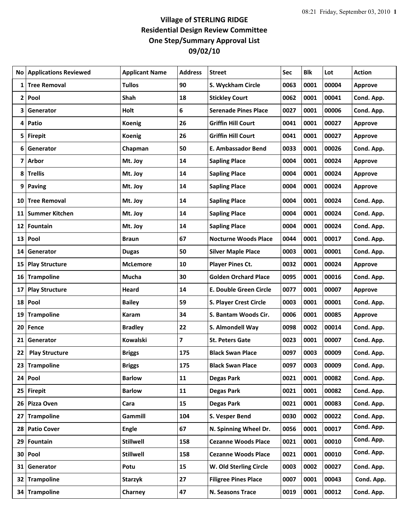## **Village of STERLING RIDGE Residential Design Review Committee One Step/Summary Approval List 09/02/10**

| No.          | <b>Applications Reviewed</b> | <b>Applicant Name</b> | <b>Address</b> | <b>Street</b>                 | Sec  | <b>Blk</b> | Lot   | <b>Action</b>  |
|--------------|------------------------------|-----------------------|----------------|-------------------------------|------|------------|-------|----------------|
| 1            | <b>Tree Removal</b>          | <b>Tullos</b>         | 90             | S. Wyckham Circle             | 0063 | 0001       | 00004 | <b>Approve</b> |
| $\mathbf{2}$ | Pool                         | Shah                  | 18             | <b>Stickley Court</b>         | 0062 | 0001       | 00041 | Cond. App.     |
| 3            | Generator                    | Holt                  | 6              | <b>Serenade Pines Place</b>   | 0027 | 0001       | 00006 | Cond. App.     |
| 4            | Patio                        | <b>Koenig</b>         | 26             | <b>Griffin Hill Court</b>     | 0041 | 0001       | 00027 | <b>Approve</b> |
| 5            | <b>Firepit</b>               | Koenig                | 26             | <b>Griffin Hill Court</b>     | 0041 | 0001       | 00027 | <b>Approve</b> |
| 6            | Generator                    | Chapman               | 50             | <b>E. Ambassador Bend</b>     | 0033 | 0001       | 00026 | Cond. App.     |
| 7            | <b>Arbor</b>                 | Mt. Joy               | 14             | <b>Sapling Place</b>          | 0004 | 0001       | 00024 | <b>Approve</b> |
|              | 8 Trellis                    | Mt. Joy               | 14             | <b>Sapling Place</b>          | 0004 | 0001       | 00024 | Approve        |
|              | 9 Paving                     | Mt. Joy               | 14             | <b>Sapling Place</b>          | 0004 | 0001       | 00024 | <b>Approve</b> |
|              | 10 Tree Removal              | Mt. Joy               | 14             | <b>Sapling Place</b>          | 0004 | 0001       | 00024 | Cond. App.     |
| 11           | <b>Summer Kitchen</b>        | Mt. Joy               | 14             | <b>Sapling Place</b>          | 0004 | 0001       | 00024 | Cond. App.     |
| 12           | Fountain                     | Mt. Joy               | 14             | <b>Sapling Place</b>          | 0004 | 0001       | 00024 | Cond. App.     |
|              | 13 Pool                      | Braun                 | 67             | <b>Nocturne Woods Place</b>   | 0044 | 0001       | 00017 | Cond. App.     |
| 14           | Generator                    | <b>Dugas</b>          | 50             | <b>Silver Maple Place</b>     | 0003 | 0001       | 00001 | Cond. App.     |
| 15           | <b>Play Structure</b>        | <b>McLemore</b>       | 10             | <b>Player Pines Ct.</b>       | 0032 | 0001       | 00024 | <b>Approve</b> |
|              | 16 Trampoline                | <b>Mucha</b>          | 30             | <b>Golden Orchard Place</b>   | 0095 | 0001       | 00016 | Cond. App.     |
| 17           | <b>Play Structure</b>        | Heard                 | 14             | E. Double Green Circle        | 0077 | 0001       | 00007 | <b>Approve</b> |
|              | 18 Pool                      | <b>Bailey</b>         | 59             | <b>S. Player Crest Circle</b> | 0003 | 0001       | 00001 | Cond. App.     |
| 19           | <b>Trampoline</b>            | Karam                 | 34             | S. Bantam Woods Cir.          | 0006 | 0001       | 00085 | <b>Approve</b> |
|              | 20 Fence                     | <b>Bradley</b>        | 22             | S. Almondell Way              | 0098 | 0002       | 00014 | Cond. App.     |
| 21           | Generator                    | Kowalski              | 7              | <b>St. Peters Gate</b>        | 0023 | 0001       | 00007 | Cond. App.     |
| 22           | <b>Play Structure</b>        | <b>Briggs</b>         | 175            | <b>Black Swan Place</b>       | 0097 | 0003       | 00009 | Cond. App.     |
|              | 23 Trampoline                | <b>Briggs</b>         | 175            | <b>Black Swan Place</b>       | 0097 | 0003       | 00009 | Cond. App.     |
|              | 24 Pool                      | <b>Barlow</b>         | 11             | <b>Degas Park</b>             | 0021 | 0001       | 00082 | Cond. App.     |
|              | 25 Firepit                   | <b>Barlow</b>         | 11             | <b>Degas Park</b>             | 0021 | 0001       | 00082 | Cond. App.     |
|              | 26 Pizza Oven                | Cara                  | 15             | <b>Degas Park</b>             | 0021 | 0001       | 00083 | Cond. App.     |
| 27           | <b>Trampoline</b>            | Gammill               | 104            | S. Vesper Bend                | 0030 | 0002       | 00022 | Cond. App.     |
|              | 28 Patio Cover               | <b>Engle</b>          | 67             | N. Spinning Wheel Dr.         | 0056 | 0001       | 00017 | Cond. App.     |
|              | 29 Fountain                  | <b>Stillwell</b>      | 158            | <b>Cezanne Woods Place</b>    | 0021 | 0001       | 00010 | Cond. App.     |
|              | 30 Pool                      | <b>Stillwell</b>      | 158            | <b>Cezanne Woods Place</b>    | 0021 | 0001       | 00010 | Cond. App.     |
|              | 31 Generator                 | Potu                  | 15             | W. Old Sterling Circle        | 0003 | 0002       | 00027 | Cond. App.     |
|              | 32 Trampoline                | Starzyk               | 27             | <b>Filigree Pines Place</b>   | 0007 | 0001       | 00043 | Cond. App.     |
|              | 34 Trampoline                | Charney               | 47             | N. Seasons Trace              | 0019 | 0001       | 00012 | Cond. App.     |